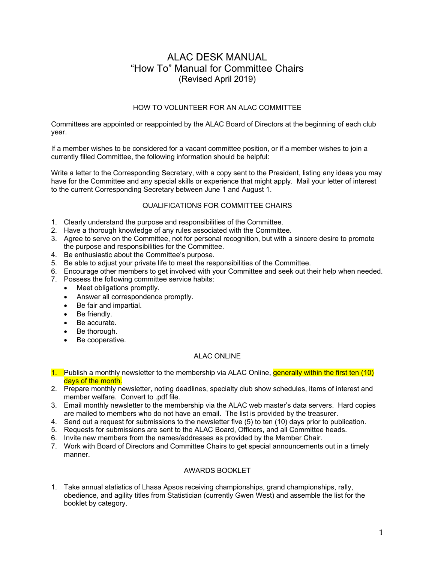# ALAC DESK MANUAL "How To" Manual for Committee Chairs (Revised April 2019)

# HOW TO VOLUNTEER FOR AN ALAC COMMITTEE

Committees are appointed or reappointed by the ALAC Board of Directors at the beginning of each club year.

If a member wishes to be considered for a vacant committee position, or if a member wishes to join a currently filled Committee, the following information should be helpful:

Write a letter to the Corresponding Secretary, with a copy sent to the President, listing any ideas you may have for the Committee and any special skills or experience that might apply. Mail your letter of interest to the current Corresponding Secretary between June 1 and August 1.

# QUALIFICATIONS FOR COMMITTEE CHAIRS

- 1. Clearly understand the purpose and responsibilities of the Committee.
- 2. Have a thorough knowledge of any rules associated with the Committee.
- 3. Agree to serve on the Committee, not for personal recognition, but with a sincere desire to promote the purpose and responsibilities for the Committee.
- 4. Be enthusiastic about the Committee's purpose.
- 5. Be able to adjust your private life to meet the responsibilities of the Committee.
- 6. Encourage other members to get involved with your Committee and seek out their help when needed.
- 7. Possess the following committee service habits:
	- Meet obligations promptly.
	- Answer all correspondence promptly.
	- Be fair and impartial.
	- Be friendly.
	- Be accurate.
	- Be thorough.
	- Be cooperative.

# ALAC ONLINE

- 1. Publish a monthly newsletter to the membership via ALAC Online, generally within the first ten (10) days of the month.
- 2. Prepare monthly newsletter, noting deadlines, specialty club show schedules, items of interest and member welfare. Convert to .pdf file.
- 3. Email monthly newsletter to the membership via the ALAC web master's data servers. Hard copies are mailed to members who do not have an email. The list is provided by the treasurer.
- 4. Send out a request for submissions to the newsletter five (5) to ten (10) days prior to publication.
- 5. Requests for submissions are sent to the ALAC Board, Officers, and all Committee heads.
- 6. Invite new members from the names/addresses as provided by the Member Chair.
- 7. Work with Board of Directors and Committee Chairs to get special announcements out in a timely manner.

# AWARDS BOOKLET

1. Take annual statistics of Lhasa Apsos receiving championships, grand championships, rally, obedience, and agility titles from Statistician (currently Gwen West) and assemble the list for the booklet by category.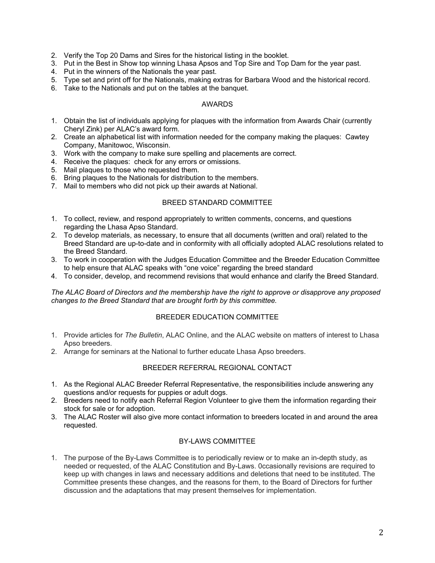- 2. Verify the Top 20 Dams and Sires for the historical listing in the booklet.
- 3. Put in the Best in Show top winning Lhasa Apsos and Top Sire and Top Dam for the year past.
- 4. Put in the winners of the Nationals the year past.
- 5. Type set and print off for the Nationals, making extras for Barbara Wood and the historical record.
- 6. Take to the Nationals and put on the tables at the banquet.

#### AWARDS

- 1. Obtain the list of individuals applying for plaques with the information from Awards Chair (currently Cheryl Zink) per ALAC's award form.
- 2. Create an alphabetical list with information needed for the company making the plaques: Cawtey Company, Manitowoc, Wisconsin.
- 3. Work with the company to make sure spelling and placements are correct.
- 4. Receive the plaques: check for any errors or omissions.
- 5. Mail plaques to those who requested them.
- 6. Bring plaques to the Nationals for distribution to the members.
- 7. Mail to members who did not pick up their awards at National.

#### BREED STANDARD COMMITTEE

- 1. To collect, review, and respond appropriately to written comments, concerns, and questions regarding the Lhasa Apso Standard.
- 2. To develop materials, as necessary, to ensure that all documents (written and oral) related to the Breed Standard are up-to-date and in conformity with all officially adopted ALAC resolutions related to the Breed Standard.
- 3. To work in cooperation with the Judges Education Committee and the Breeder Education Committee to help ensure that ALAC speaks with "one voice" regarding the breed standard
- 4. To consider, develop, and recommend revisions that would enhance and clarify the Breed Standard.

*The ALAC Board of Directors and the membership have the right to approve or disapprove any proposed changes to the Breed Standard that are brought forth by this committee.*

# BREEDER EDUCATION COMMITTEE

- 1. Provide articles for *The Bulletin*, ALAC Online, and the ALAC website on matters of interest to Lhasa Apso breeders.
- 2. Arrange for seminars at the National to further educate Lhasa Apso breeders.

#### BREEDER REFERRAL REGIONAL CONTACT

- 1. As the Regional ALAC Breeder Referral Representative, the responsibilities include answering any questions and/or requests for puppies or adult dogs.
- 2. Breeders need to notify each Referral Region Volunteer to give them the information regarding their stock for sale or for adoption.
- 3. The ALAC Roster will also give more contact information to breeders located in and around the area requested.

#### BY-LAWS COMMITTEE

1. The purpose of the By-Laws Committee is to periodically review or to make an in-depth study, as needed or requested, of the ALAC Constitution and By-Laws. 0ccasionally revisions are required to keep up with changes in laws and necessary additions and deletions that need to be instituted. The Committee presents these changes, and the reasons for them, to the Board of Directors for further discussion and the adaptations that may present themselves for implementation.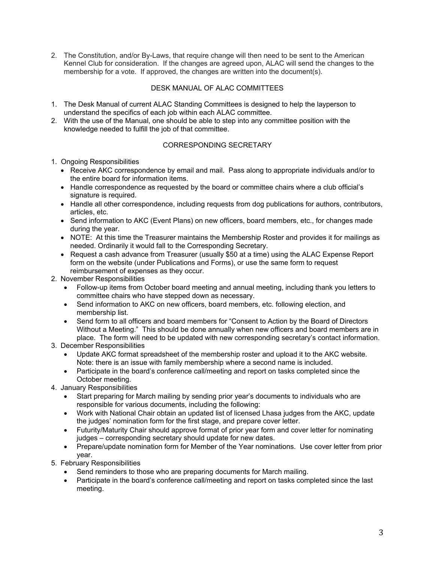2. The Constitution, and/or By-Laws, that require change will then need to be sent to the American Kennel Club for consideration. If the changes are agreed upon, ALAC will send the changes to the membership for a vote. If approved, the changes are written into the document(s).

# DESK MANUAL OF ALAC COMMITTEES

- 1. The Desk Manual of current ALAC Standing Committees is designed to help the layperson to understand the specifics of each job within each ALAC committee.
- 2. With the use of the Manual, one should be able to step into any committee position with the knowledge needed to fulfill the job of that committee.

# CORRESPONDING SECRETARY

- 1. Ongoing Responsibilities
	- Receive AKC correspondence by email and mail. Pass along to appropriate individuals and/or to the entire board for information items.
	- Handle correspondence as requested by the board or committee chairs where a club official's signature is required.
	- Handle all other correspondence, including requests from dog publications for authors, contributors, articles, etc.
	- Send information to AKC (Event Plans) on new officers, board members, etc., for changes made during the year.
	- NOTE: At this time the Treasurer maintains the Membership Roster and provides it for mailings as needed. Ordinarily it would fall to the Corresponding Secretary.
	- Request a cash advance from Treasurer (usually \$50 at a time) using the ALAC Expense Report form on the website (under Publications and Forms), or use the same form to request reimbursement of expenses as they occur.
- 2. November Responsibilities
	- Follow-up items from October board meeting and annual meeting, including thank you letters to committee chairs who have stepped down as necessary.
	- Send information to AKC on new officers, board members, etc. following election, and membership list.
	- Send form to all officers and board members for "Consent to Action by the Board of Directors Without a Meeting." This should be done annually when new officers and board members are in place. The form will need to be updated with new corresponding secretary's contact information.
- 3. December Responsibilities
	- Update AKC format spreadsheet of the membership roster and upload it to the AKC website. Note: there is an issue with family membership where a second name is included.
	- Participate in the board's conference call/meeting and report on tasks completed since the October meeting.
- 4. January Responsibilities
	- Start preparing for March mailing by sending prior year's documents to individuals who are responsible for various documents, including the following:
	- Work with National Chair obtain an updated list of licensed Lhasa judges from the AKC, update the judges' nomination form for the first stage, and prepare cover letter.
	- Futurity/Maturity Chair should approve format of prior year form and cover letter for nominating judges – corresponding secretary should update for new dates.
	- Prepare/update nomination form for Member of the Year nominations. Use cover letter from prior year.
- 5. February Responsibilities
	- Send reminders to those who are preparing documents for March mailing.
	- Participate in the board's conference call/meeting and report on tasks completed since the last meeting.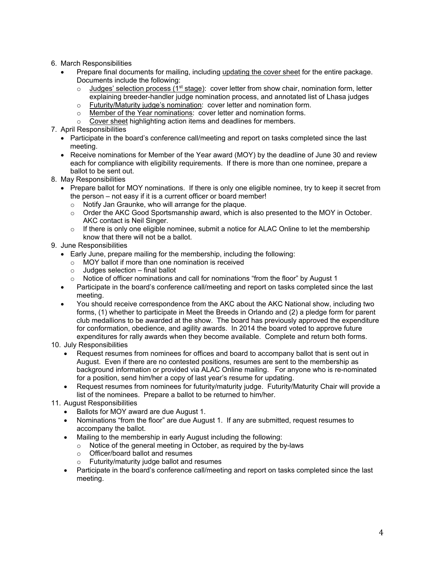- 6. March Responsibilities
	- Prepare final documents for mailing, including updating the cover sheet for the entire package. Documents include the following:
		- $\circ$  Judges' selection process (1<sup>st</sup> stage): cover letter from show chair, nomination form, letter explaining breeder-handler judge nomination process, and annotated list of Lhasa judges
		- o Futurity/Maturity judge's nomination: cover letter and nomination form.
		- o Member of the Year nominations: cover letter and nomination forms.
		- o Cover sheet highlighting action items and deadlines for members.
- 7. April Responsibilities
	- Participate in the board's conference call/meeting and report on tasks completed since the last meeting.
	- Receive nominations for Member of the Year award (MOY) by the deadline of June 30 and review each for compliance with eligibility requirements. If there is more than one nominee, prepare a ballot to be sent out.
- 8. May Responsibilities
	- Prepare ballot for MOY nominations. If there is only one eligible nominee, try to keep it secret from the person – not easy if it is a current officer or board member!
		- o Notify Jan Graunke, who will arrange for the plaque.
		- $\circ$  Order the AKC Good Sportsmanship award, which is also presented to the MOY in October. AKC contact is Neil Singer.
		- $\circ$  If there is only one eligible nominee, submit a notice for ALAC Online to let the membership know that there will not be a ballot.
- 9. June Responsibilities
	- Early June, prepare mailing for the membership, including the following:
		- o MOY ballot if more than one nomination is received
		- $\circ$  Judges selection final ballot
		- $\circ$  Notice of officer nominations and call for nominations "from the floor" by August 1
	- Participate in the board's conference call/meeting and report on tasks completed since the last meeting.
	- You should receive correspondence from the AKC about the AKC National show, including two forms, (1) whether to participate in Meet the Breeds in Orlando and (2) a pledge form for parent club medallions to be awarded at the show. The board has previously approved the expenditure for conformation, obedience, and agility awards. In 2014 the board voted to approve future expenditures for rally awards when they become available. Complete and return both forms.
- 10. July Responsibilities
	- Request resumes from nominees for offices and board to accompany ballot that is sent out in August. Even if there are no contested positions, resumes are sent to the membership as background information or provided via ALAC Online mailing. For anyone who is re-nominated for a position, send him/her a copy of last year's resume for updating.
	- Request resumes from nominees for futurity/maturity judge. Futurity/Maturity Chair will provide a list of the nominees. Prepare a ballot to be returned to him/her.
- 11. August Responsibilities
	- Ballots for MOY award are due August 1.
	- Nominations "from the floor" are due August 1. If any are submitted, request resumes to accompany the ballot.
	- Mailing to the membership in early August including the following:
		- o Notice of the general meeting in October, as required by the by-laws
		- o Officer/board ballot and resumes
		- o Futurity/maturity judge ballot and resumes
	- Participate in the board's conference call/meeting and report on tasks completed since the last meeting.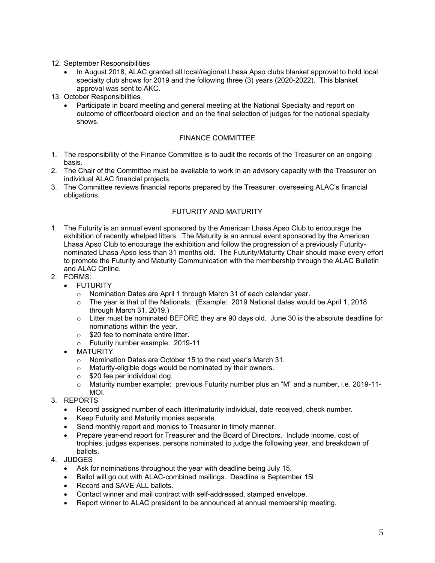- 12. September Responsibilities
	- In August 2018, ALAC granted all local/regional Lhasa Apso clubs blanket approval to hold local specialty club shows for 2019 and the following three (3) years (2020-2022). This blanket approval was sent to AKC.
- 13. October Responsibilities
	- Participate in board meeting and general meeting at the National Specialty and report on outcome of officer/board election and on the final selection of judges for the national specialty shows.

# FINANCE COMMITTEE

- 1. The responsibility of the Finance Committee is to audit the records of the Treasurer on an ongoing basis.
- 2. The Chair of the Committee must be available to work in an advisory capacity with the Treasurer on individual ALAC financial projects.
- 3. The Committee reviews financial reports prepared by the Treasurer, overseeing ALAC's financial obligations.

# FUTURITY AND MATURITY

- 1. The Futurity is an annual event sponsored by the American Lhasa Apso Club to encourage the exhibition of recently whelped litters. The Maturity is an annual event sponsored by the American Lhasa Apso Club to encourage the exhibition and follow the progression of a previously Futuritynominated Lhasa Apso less than 31 months old. The Futurity/Maturity Chair should make every effort to promote the Futurity and Maturity Communication with the membership through the ALAC Bulletin and ALAC Online.
- 2. FORMS:
	- **•** FUTURITY
		- o Nomination Dates are April 1 through March 31 of each calendar year.
		- $\circ$  The year is that of the Nationals. (Example: 2019 National dates would be April 1, 2018 through March 31, 2019.)
		- $\circ$  Litter must be nominated BEFORE they are 90 days old. June 30 is the absolute deadline for nominations within the year.
		- o \$20 fee to nominate entire litter.
		- o Futurity number example: 2019-11.
	- MATURITY
		- o Nomination Dates are October 15 to the next year's March 31.
		- o Maturity-eligible dogs would be nominated by their owners.
		- o \$20 fee per individual dog.
		- o Maturity number example: previous Futurity number plus an "M" and a number, i.e. 2019-11- MOI.
- 3. REPORTS
	- Record assigned number of each litter/maturity individual, date received, check number.
	- Keep Futurity and Maturity monies separate.
	- Send monthly report and monies to Treasurer in timely manner.
	- Prepare year-end report for Treasurer and the Board of Directors. Include income, cost of trophies, judges expenses, persons nominated to judge the following year, and breakdown of ballots.
- 4. JUDGES
	- Ask for nominations throughout the year with deadline being July 15.
	- Ballot will go out with ALAC-combined mailings. Deadline is September 15I
	- Record and SAVE ALL ballots.
	- Contact winner and mail contract with self-addressed, stamped envelope.
	- Report winner to ALAC president to be announced at annual membership meeting.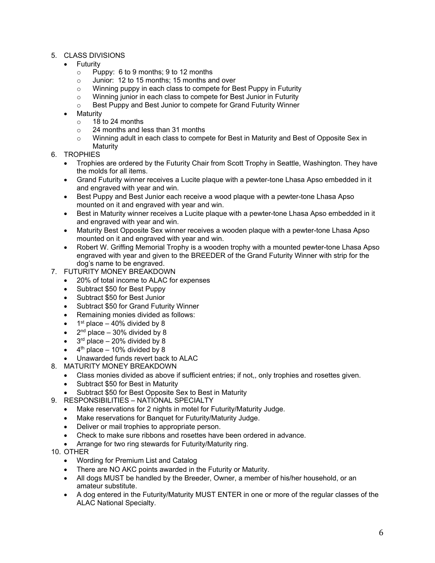- 5. CLASS DIVISIONS
	- Futurity
		- o Puppy: 6 to 9 months; 9 to 12 months
		- o Junior: 12 to 15 months; 15 months and over
		- o Winning puppy in each class to compete for Best Puppy in Futurity
		- o Winning junior in each class to compete for Best Junior in Futurity
		- o Best Puppy and Best Junior to compete for Grand Futurity Winner
		- **Maturity** 
			- o 18 to 24 months
			- o 24 months and less than 31 months
			- o Winning adult in each class to compete for Best in Maturity and Best of Opposite Sex in **Maturity**
- 6. TROPHIES
	- Trophies are ordered by the Futurity Chair from Scott Trophy in Seattle, Washington. They have the molds for all items.
	- Grand Futurity winner receives a Lucite plaque with a pewter-tone Lhasa Apso embedded in it and engraved with year and win.
	- Best Puppy and Best Junior each receive a wood plaque with a pewter-tone Lhasa Apso mounted on it and engraved with year and win.
	- Best in Maturity winner receives a Lucite plaque with a pewter-tone Lhasa Apso embedded in it and engraved with year and win.
	- Maturity Best Opposite Sex winner receives a wooden plaque with a pewter-tone Lhasa Apso mounted on it and engraved with year and win.
	- Robert W. Griffing Memorial Trophy is a wooden trophy with a mounted pewter-tone Lhasa Apso engraved with year and given to the BREEDER of the Grand Futurity Winner with strip for the dog's name to be engraved.
- 7. FUTURITY MONEY BREAKDOWN
	- 20% of total income to ALAC for expenses
	- Subtract \$50 for Best Puppy
	- Subtract \$50 for Best Junior
	- Subtract \$50 for Grand Futurity Winner
	- Remaining monies divided as follows:
	- $\bullet$  1<sup>st</sup> place 40% divided by 8
	- $\bullet$  2<sup>nd</sup> place 30% divided by 8
	- $\bullet$  3<sup>rd</sup> place 20% divided by 8
	- $4<sup>th</sup>$  place 10% divided by 8
	- Unawarded funds revert back to ALAC
- 8. MATURITY MONEY BREAKDOWN
	- Class monies divided as above if sufficient entries; if not,, only trophies and rosettes given.
	- Subtract \$50 for Best in Maturity
	- Subtract \$50 for Best Opposite Sex to Best in Maturity
- 9. RESPONSIBILITIES NATIONAL SPECIALTY
	- Make reservations for 2 nights in motel for Futurity/Maturity Judge.
	- Make reservations for Banquet for Futurity/Maturity Judge.
	- Deliver or mail trophies to appropriate person.
	- Check to make sure ribbons and rosettes have been ordered in advance.
	- Arrange for two ring stewards for Futurity/Maturity ring.
- 10. OTHER
	- Wording for Premium List and Catalog
	- There are NO AKC points awarded in the Futurity or Maturity.
	- All dogs MUST be handled by the Breeder, Owner, a member of his/her household, or an amateur substitute.
	- A dog entered in the Futurity/Maturity MUST ENTER in one or more of the regular classes of the ALAC National Specialty.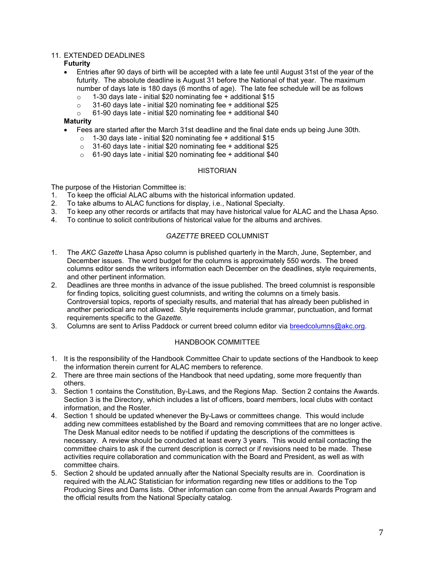# 11. EXTENDED DEADLINES

#### **Futurity**

- Entries after 90 days of birth will be accepted with a late fee until August 31st of the year of the futurity. The absolute deadline is August 31 before the National of that year. The maximum number of days late is 180 days (6 months of age). The late fee schedule will be as follows
	- $\circ$  1-30 days late initial \$20 nominating fee + additional \$15
	- $\circ$  31-60 days late initial \$20 nominating fee + additional \$25
	- o 61-90 days late initial \$20 nominating fee + additional \$40

#### **Maturity**

- Fees are started after the March 31st deadline and the final date ends up being June 30th.
	- $\circ$  1-30 days late initial \$20 nominating fee + additional \$15
	- $\circ$  31-60 days late initial \$20 nominating fee + additional \$25
	- o 61-90 days late initial \$20 nominating fee + additional \$40

#### **HISTORIAN**

The purpose of the Historian Committee is:

- 1. To keep the official ALAC albums with the historical information updated.
- 2. To take albums to ALAC functions for display, i.e., National Specialty.
- 3. To keep any other records or artifacts that may have historical value for ALAC and the Lhasa Apso.
- 4. To continue to solicit contributions of historical value for the albums and archives.

# *GAZETTE* BREED COLUMNIST

- 1. The *AKC Gazette* Lhasa Apso column is published quarterly in the March, June, September, and December issues. The word budget for the columns is approximately 550 words. The breed columns editor sends the writers information each December on the deadlines, style requirements, and other pertinent information.
- 2. Deadlines are three months in advance of the issue published. The breed columnist is responsible for finding topics, soliciting guest columnists, and writing the columns on a timely basis. Controversial topics, reports of specialty results, and material that has already been published in another periodical are not allowed. Style requirements include grammar, punctuation, and format requirements specific to the *Gazette.*
- 3. Columns are sent to Arliss Paddock or current breed column editor via breedcolumns@akc.org.

# HANDBOOK COMMITTEE

- 1. It is the responsibility of the Handbook Committee Chair to update sections of the Handbook to keep the information therein current for ALAC members to reference.
- 2. There are three main sections of the Handbook that need updating, some more frequently than others.
- 3. Section 1 contains the Constitution, By-Laws, and the Regions Map. Section 2 contains the Awards. Section 3 is the Directory, which includes a list of officers, board members, local clubs with contact information, and the Roster.
- 4. Section 1 should be updated whenever the By-Laws or committees change. This would include adding new committees established by the Board and removing committees that are no longer active. The Desk Manual editor needs to be notified if updating the descriptions of the committees is necessary. A review should be conducted at least every 3 years. This would entail contacting the committee chairs to ask if the current description is correct or if revisions need to be made. These activities require collaboration and communication with the Board and President, as well as with committee chairs.
- 5. Section 2 should be updated annually after the National Specialty results are in. Coordination is required with the ALAC Statistician for information regarding new titles or additions to the Top Producing Sires and Dams lists. Other information can come from the annual Awards Program and the official results from the National Specialty catalog.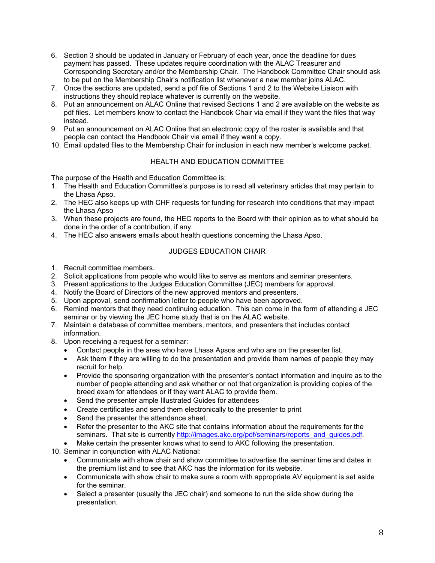- 6. Section 3 should be updated in January or February of each year, once the deadline for dues payment has passed. These updates require coordination with the ALAC Treasurer and Corresponding Secretary and/or the Membership Chair. The Handbook Committee Chair should ask to be put on the Membership Chair's notification list whenever a new member joins ALAC.
- 7. Once the sections are updated, send a pdf file of Sections 1 and 2 to the Website Liaison with instructions they should replace whatever is currently on the website.
- 8. Put an announcement on ALAC Online that revised Sections 1 and 2 are available on the website as pdf files. Let members know to contact the Handbook Chair via email if they want the files that way instead.
- 9. Put an announcement on ALAC Online that an electronic copy of the roster is available and that people can contact the Handbook Chair via email if they want a copy.
- 10. Email updated files to the Membership Chair for inclusion in each new member's welcome packet.

#### HEALTH AND EDUCATION COMMITTEE

The purpose of the Health and Education Committee is:

- 1. The Health and Education Committee's purpose is to read all veterinary articles that may pertain to the Lhasa Apso.
- 2. The HEC also keeps up with CHF requests for funding for research into conditions that may impact the Lhasa Apso
- 3. When these projects are found, the HEC reports to the Board with their opinion as to what should be done in the order of a contribution, if any.
- 4. The HEC also answers emails about health questions concerning the Lhasa Apso.

### JUDGES EDUCATION CHAIR

- 1. Recruit committee members.
- 2. Solicit applications from people who would like to serve as mentors and seminar presenters.
- 3. Present applications to the Judges Education Committee (JEC) members for approval.
- 4. Notify the Board of Directors of the new approved mentors and presenters.
- 5. Upon approval, send confirmation letter to people who have been approved.
- 6. Remind mentors that they need continuing education. This can come in the form of attending a JEC seminar or by viewing the JEC home study that is on the ALAC website.
- 7. Maintain a database of committee members, mentors, and presenters that includes contact information.
- 8. Upon receiving a request for a seminar:
	- Contact people in the area who have Lhasa Apsos and who are on the presenter list.
	- Ask them if they are willing to do the presentation and provide them names of people they may recruit for help.
	- Provide the sponsoring organization with the presenter's contact information and inquire as to the number of people attending and ask whether or not that organization is providing copies of the breed exam for attendees or if they want ALAC to provide them.
	- Send the presenter ample Illustrated Guides for attendees
	- Create certificates and send them electronically to the presenter to print
	- Send the presenter the attendance sheet.
	- Refer the presenter to the AKC site that contains information about the requirements for the seminars. That site is currently http://images.akc.org/pdf/seminars/reports\_and\_guides.pdf.
	- Make certain the presenter knows what to send to AKC following the presentation.
- 10. Seminar in conjunction with ALAC National:
	- Communicate with show chair and show committee to advertise the seminar time and dates in the premium list and to see that AKC has the information for its website.
	- Communicate with show chair to make sure a room with appropriate AV equipment is set aside for the seminar.
	- Select a presenter (usually the JEC chair) and someone to run the slide show during the presentation.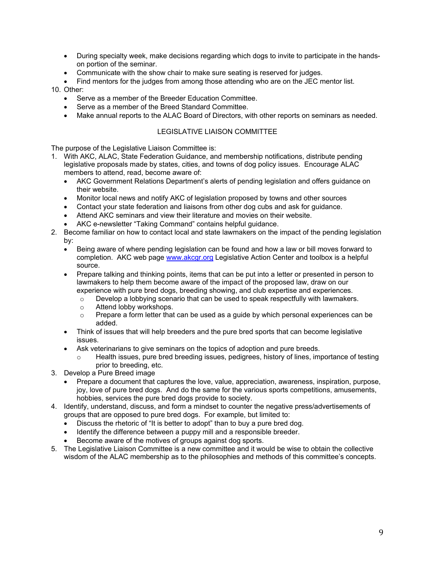- During specialty week, make decisions regarding which dogs to invite to participate in the handson portion of the seminar.
- Communicate with the show chair to make sure seating is reserved for judges.
- Find mentors for the judges from among those attending who are on the JEC mentor list.

10. Other:

- Serve as a member of the Breeder Education Committee.
- Serve as a member of the Breed Standard Committee.
- Make annual reports to the ALAC Board of Directors, with other reports on seminars as needed.

#### LEGISLATIVE LIAISON COMMITTEE

The purpose of the Legislative Liaison Committee is:

- 1. With AKC, ALAC, State Federation Guidance, and membership notifications, distribute pending legislative proposals made by states, cities, and towns of dog policy issues. Encourage ALAC members to attend, read, become aware of:
	- AKC Government Relations Department's alerts of pending legislation and offers guidance on their website.
	- Monitor local news and notify AKC of legislation proposed by towns and other sources
	- Contact your state federation and liaisons from other dog cubs and ask for guidance.
	- Attend AKC seminars and view their literature and movies on their website.
	- AKC e-newsletter "Taking Command" contains helpful guidance.
- 2. Become familiar on how to contact local and state lawmakers on the impact of the pending legislation by:
	- Being aware of where pending legislation can be found and how a law or bill moves forward to completion. AKC web page www.akcgr.org Legislative Action Center and toolbox is a helpful source.
	- Prepare talking and thinking points, items that can be put into a letter or presented in person to lawmakers to help them become aware of the impact of the proposed law, draw on our experience with pure bred dogs, breeding showing, and club expertise and experiences.
		- $\circ$  Develop a lobbying scenario that can be used to speak respectfully with lawmakers.
		- o Attend lobby workshops.
		- $\circ$  Prepare a form letter that can be used as a guide by which personal experiences can be added.
	- Think of issues that will help breeders and the pure bred sports that can become legislative issues.
	- Ask veterinarians to give seminars on the topics of adoption and pure breeds.
		- $\circ$  Health issues, pure bred breeding issues, pedigrees, history of lines, importance of testing prior to breeding, etc.
- 3. Develop a Pure Breed image
	- Prepare a document that captures the love, value, appreciation, awareness, inspiration, purpose, joy, love of pure bred dogs. And do the same for the various sports competitions, amusements, hobbies, services the pure bred dogs provide to society.
- 4. Identify, understand, discuss, and form a mindset to counter the negative press/advertisements of groups that are opposed to pure bred dogs. For example, but limited to:
	- Discuss the rhetoric of "It is better to adopt" than to buy a pure bred dog.
	- Identify the difference between a puppy mill and a responsible breeder.
	- Become aware of the motives of groups against dog sports.
- 5. The Legislative Liaison Committee is a new committee and it would be wise to obtain the collective wisdom of the ALAC membership as to the philosophies and methods of this committee's concepts.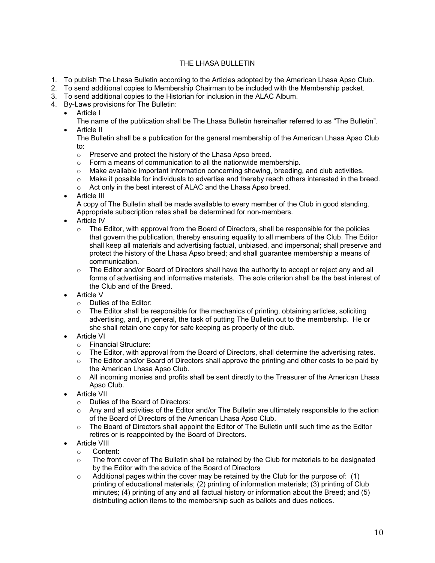# THE LHASA BULLETIN

- 1. To publish The Lhasa Bulletin according to the Articles adopted by the American Lhasa Apso Club.
- 2. To send additional copies to Membership Chairman to be included with the Membership packet.
- 3. To send additional copies to the Historian for inclusion in the ALAC Album.
- 4. By-Laws provisions for The Bulletin:
	- Article I

The name of the publication shall be The Lhasa Bulletin hereinafter referred to as "The Bulletin". Article II

The Bulletin shall be a publication for the general membership of the American Lhasa Apso Club to:

- o Preserve and protect the history of the Lhasa Apso breed.
- $\circ$  Form a means of communication to all the nationwide membership.
- $\circ$  Make available important information concerning showing, breeding, and club activities.
- o Make it possible for individuals to advertise and thereby reach others interested in the breed.
- o Act only in the best interest of ALAC and the Lhasa Apso breed.
- Article III

A copy of The Bulletin shall be made available to every member of the Club in good standing. Appropriate subscription rates shall be determined for non-members.

- Article IV
	- $\circ$  The Editor, with approval from the Board of Directors, shall be responsible for the policies that govern the publication, thereby ensuring equality to all members of the Club. The Editor shall keep all materials and advertising factual, unbiased, and impersonal; shall preserve and protect the history of the Lhasa Apso breed; and shall guarantee membership a means of communication.
	- $\circ$  The Editor and/or Board of Directors shall have the authority to accept or reject any and all forms of advertising and informative materials. The sole criterion shall be the best interest of the Club and of the Breed.
- Article V
	- o Duties of the Editor:
	- $\circ$  The Editor shall be responsible for the mechanics of printing, obtaining articles, soliciting advertising, and, in general, the task of putting The Bulletin out to the membership. He or she shall retain one copy for safe keeping as property of the club.
- Article VI
	- o Financial Structure:
	- $\circ$  The Editor, with approval from the Board of Directors, shall determine the advertising rates.
	- $\circ$  The Editor and/or Board of Directors shall approve the printing and other costs to be paid by the American Lhasa Apso Club.
	- $\circ$  All incoming monies and profits shall be sent directly to the Treasurer of the American Lhasa Apso Club.
- Article VII
	- o Duties of the Board of Directors:
	- $\circ$  Any and all activities of the Editor and/or The Bulletin are ultimately responsible to the action of the Board of Directors of the American Lhasa Apso Club.
	- $\circ$  The Board of Directors shall appoint the Editor of The Bulletin until such time as the Editor retires or is reappointed by the Board of Directors.
- Article VIII
	- o Content:
	- $\circ$  The front cover of The Bulletin shall be retained by the Club for materials to be designated by the Editor with the advice of the Board of Directors
	- $\circ$  Additional pages within the cover may be retained by the Club for the purpose of: (1) printing of educational materials; (2) printing of information materials; (3) printing of Club minutes; (4) printing of any and all factual history or information about the Breed; and (5) distributing action items to the membership such as ballots and dues notices.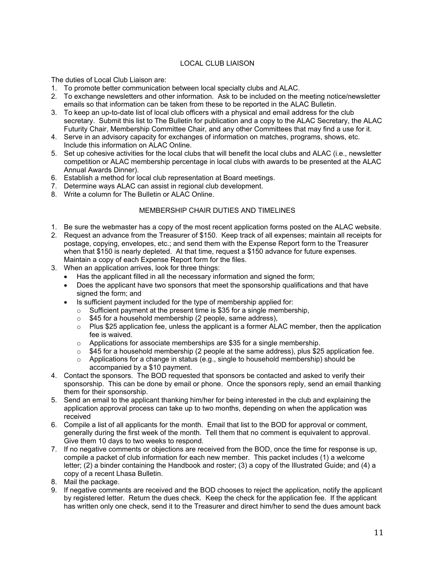# LOCAL CLUB LIAISON

The duties of Local Club Liaison are:

- 1. To promote better communication between local specialty clubs and ALAC.
- 2. To exchange newsletters and other information. Ask to be included on the meeting notice/newsletter emails so that information can be taken from these to be reported in the ALAC Bulletin.
- 3. To keep an up-to-date list of local club officers with a physical and email address for the club secretary. Submit this list to The Bulletin for publication and a copy to the ALAC Secretary, the ALAC Futurity Chair, Membership Committee Chair, and any other Committees that may find a use for it.
- 4. Serve in an advisory capacity for exchanges of information on matches, programs, shows, etc. Include this information on ALAC Online.
- 5. Set up cohesive activities for the local clubs that will benefit the local clubs and ALAC (i.e., newsletter competition or ALAC membership percentage in local clubs with awards to be presented at the ALAC Annual Awards Dinner).
- 6. Establish a method for local club representation at Board meetings.
- 7. Determine ways ALAC can assist in regional club development.
- 8. Write a column for The Bulletin or ALAC Online.

#### MEMBERSHIP CHAIR DUTIES AND TIMELINES

- 1. Be sure the webmaster has a copy of the most recent application forms posted on the ALAC website.
- 2. Request an advance from the Treasurer of \$150. Keep track of all expenses; maintain all receipts for postage, copying, envelopes, etc.; and send them with the Expense Report form to the Treasurer when that \$150 is nearly depleted. At that time, request a \$150 advance for future expenses. Maintain a copy of each Expense Report form for the files.
- 3. When an application arrives, look for three things:
	- Has the applicant filled in all the necessary information and signed the form;
	- Does the applicant have two sponsors that meet the sponsorship qualifications and that have signed the form; and
	- Is sufficient payment included for the type of membership applied for:
		- $\circ$  Sufficient payment at the present time is \$35 for a single membership,
		- o \$45 for a household membership (2 people, same address),
		- $\circ$  Plus \$25 application fee, unless the applicant is a former ALAC member, then the application fee is waived.
		- o Applications for associate memberships are \$35 for a single membership.
		- $\circ$  \$45 for a household membership (2 people at the same address), plus \$25 application fee.
		- $\circ$  Applications for a change in status (e.g., single to household membership) should be accompanied by a \$10 payment.
- 4. Contact the sponsors. The BOD requested that sponsors be contacted and asked to verify their sponsorship. This can be done by email or phone. Once the sponsors reply, send an email thanking them for their sponsorship.
- 5. Send an email to the applicant thanking him/her for being interested in the club and explaining the application approval process can take up to two months, depending on when the application was received
- 6. Compile a list of all applicants for the month. Email that list to the BOD for approval or comment, generally during the first week of the month. Tell them that no comment is equivalent to approval. Give them 10 days to two weeks to respond.
- 7. If no negative comments or objections are received from the BOD, once the time for response is up, compile a packet of club information for each new member. This packet includes (1) a welcome letter; (2) a binder containing the Handbook and roster; (3) a copy of the Illustrated Guide; and (4) a copy of a recent Lhasa Bulletin.
- 8. Mail the package.
- 9. If negative comments are received and the BOD chooses to reject the application, notify the applicant by registered letter. Return the dues check. Keep the check for the application fee. If the applicant has written only one check, send it to the Treasurer and direct him/her to send the dues amount back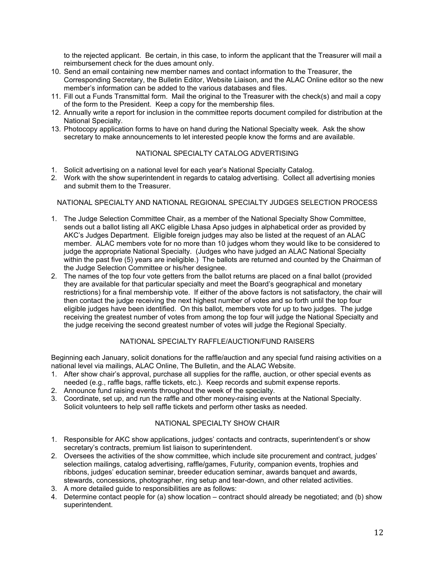to the rejected applicant. Be certain, in this case, to inform the applicant that the Treasurer will mail a reimbursement check for the dues amount only.

- 10. Send an email containing new member names and contact information to the Treasurer, the Corresponding Secretary, the Bulletin Editor, Website Liaison, and the ALAC Online editor so the new member's information can be added to the various databases and files.
- 11. Fill out a Funds Transmittal form. Mail the original to the Treasurer with the check(s) and mail a copy of the form to the President. Keep a copy for the membership files.
- 12. Annually write a report for inclusion in the committee reports document compiled for distribution at the National Specialty.
- 13. Photocopy application forms to have on hand during the National Specialty week. Ask the show secretary to make announcements to let interested people know the forms and are available.

#### NATIONAL SPECIALTY CATALOG ADVERTISING

- 1. Solicit advertising on a national level for each year's National Specialty Catalog.
- 2. Work with the show superintendent in regards to catalog advertising. Collect all advertising monies and submit them to the Treasurer.

#### NATIONAL SPECIALTY AND NATIONAL REGIONAL SPECIALTY JUDGES SELECTION PROCESS

- 1. The Judge Selection Committee Chair, as a member of the National Specialty Show Committee, sends out a ballot listing all AKC eligible Lhasa Apso judges in alphabetical order as provided by AKC's Judges Department. Eligible foreign judges may also be listed at the request of an ALAC member. ALAC members vote for no more than 10 judges whom they would like to be considered to judge the appropriate National Specialty. (Judges who have judged an ALAC National Specialty within the past five (5) years are ineligible.) The ballots are returned and counted by the Chairman of the Judge Selection Committee or his/her designee.
- 2. The names of the top four vote getters from the ballot returns are placed on a final ballot (provided they are available for that particular specialty and meet the Board's geographical and monetary restrictions) for a final membership vote. If either of the above factors is not satisfactory, the chair will then contact the judge receiving the next highest number of votes and so forth until the top four eligible judges have been identified. On this ballot, members vote for up to two judges. The judge receiving the greatest number of votes from among the top four will judge the National Specialty and the judge receiving the second greatest number of votes will judge the Regional Specialty.

# NATIONAL SPECIALTY RAFFLE/AUCTION/FUND RAISERS

Beginning each January, solicit donations for the raffle/auction and any special fund raising activities on a national level via mailings, ALAC Online, The Bulletin, and the ALAC Website.

- 1. After show chair's approval, purchase all supplies for the raffle, auction, or other special events as needed (e.g., raffle bags, raffle tickets, etc.). Keep records and submit expense reports.
- 2. Announce fund raising events throughout the week of the specialty.
- 3. Coordinate, set up, and run the raffle and other money-raising events at the National Specialty. Solicit volunteers to help sell raffle tickets and perform other tasks as needed.

# NATIONAL SPECIALTY SHOW CHAIR

- 1. Responsible for AKC show applications, judges' contacts and contracts, superintendent's or show secretary's contracts, premium list liaison to superintendent.
- 2. Oversees the activities of the show committee, which include site procurement and contract, judges' selection mailings, catalog advertising, raffle/games, Futurity, companion events, trophies and ribbons, judges' education seminar, breeder education seminar, awards banquet and awards, stewards, concessions, photographer, ring setup and tear-down, and other related activities.
- 3. A more detailed guide to responsibilities are as follows:
- 4. Determine contact people for (a) show location contract should already be negotiated; and (b) show superintendent.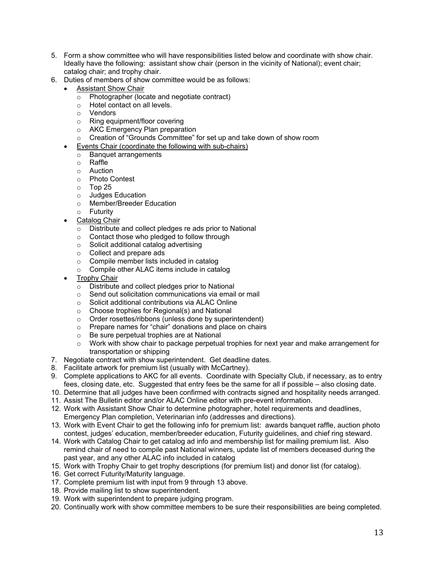- 5. Form a show committee who will have responsibilities listed below and coordinate with show chair. Ideally have the following: assistant show chair (person in the vicinity of National); event chair; catalog chair; and trophy chair.
- 6. Duties of members of show committee would be as follows:
	- Assistant Show Chair
		- o Photographer (locate and negotiate contract)
		- o Hotel contact on all levels.
		- o Vendors
		- o Ring equipment/floor covering
		- o AKC Emergency Plan preparation
		- o Creation of "Grounds Committee" for set up and take down of show room
		- Events Chair (coordinate the following with sub-chairs)
			- o Banquet arrangements
			- o Raffle
			- o Auction
			- o Photo Contest
			- o Top 25
			- o Judges Education
			- o Member/Breeder Education
			- o Futurity
		- Catalog Chair
			- o Distribute and collect pledges re ads prior to National
			- o Contact those who pledged to follow through
			- o Solicit additional catalog advertising
			- o Collect and prepare ads
			- o Compile member lists included in catalog
			- o Compile other ALAC items include in catalog
	- Trophy Chair
		- $\overline{\circ}$  Distribute and collect pledges prior to National
		- o Send out solicitation communications via email or mail
		- o Solicit additional contributions via ALAC Online
		- o Choose trophies for Regional(s) and National
		- o Order rosettes/ribbons (unless done by superintendent)
		- o Prepare names for "chair" donations and place on chairs
		- o Be sure perpetual trophies are at National
		- $\circ$  Work with show chair to package perpetual trophies for next year and make arrangement for transportation or shipping
- 7. Negotiate contract with show superintendent. Get deadline dates.
- 8. Facilitate artwork for premium list (usually with McCartney).
- 9. Complete applications to AKC for all events. Coordinate with Specialty Club, if necessary, as to entry fees, closing date, etc. Suggested that entry fees be the same for all if possible – also closing date.
- 10. Determine that all judges have been confirmed with contracts signed and hospitality needs arranged.
- 11. Assist The Bulletin editor and/or ALAC Online editor with pre-event information.
- 12. Work with Assistant Show Chair to determine photographer, hotel requirements and deadlines, Emergency Plan completion, Veterinarian info (addresses and directions).
- 13. Work with Event Chair to get the following info for premium list: awards banquet raffle, auction photo contest, judges' education, member/breeder education, Futurity guidelines, and chief ring steward.
- 14. Work with Catalog Chair to get catalog ad info and membership list for mailing premium list. Also remind chair of need to compile past National winners, update list of members deceased during the past year, and any other ALAC info included in catalog
- 15. Work with Trophy Chair to get trophy descriptions (for premium list) and donor list (for catalog).
- 16. Get correct Futurity/Maturity language.
- 17. Complete premium list with input from 9 through 13 above.
- 18. Provide mailing list to show superintendent.
- 19. Work with superintendent to prepare judging program.
- 20. Continually work with show committee members to be sure their responsibilities are being completed.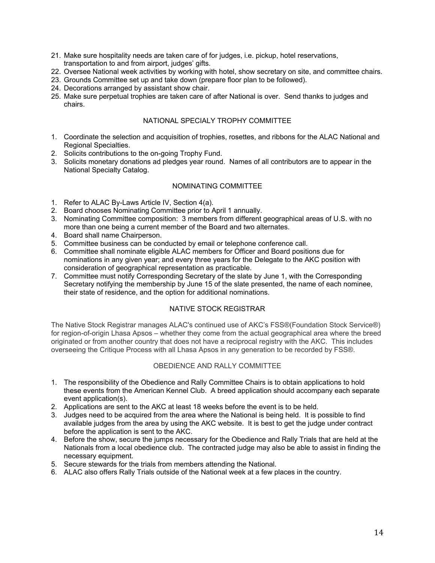- 21. Make sure hospitality needs are taken care of for judges, i.e. pickup, hotel reservations, transportation to and from airport, judges' gifts.
- 22. Oversee National week activities by working with hotel, show secretary on site, and committee chairs.
- 23. Grounds Committee set up and take down (prepare floor plan to be followed).
- 24. Decorations arranged by assistant show chair.
- 25. Make sure perpetual trophies are taken care of after National is over. Send thanks to judges and chairs.

### NATIONAL SPECIALY TROPHY COMMITTEE

- 1. Coordinate the selection and acquisition of trophies, rosettes, and ribbons for the ALAC National and Regional Specialties.
- 2. Solicits contributions to the on-going Trophy Fund.
- 3. Solicits monetary donations ad pledges year round. Names of all contributors are to appear in the National Specialty Catalog.

#### NOMINATING COMMITTEE

- 1. Refer to ALAC By-Laws Article IV, Section 4(a).
- 2. Board chooses Nominating Committee prior to April 1 annually.
- 3. Nominating Committee composition: 3 members from different geographical areas of U.S. with no more than one being a current member of the Board and two alternates.
- 4. Board shall name Chairperson.
- 5. Committee business can be conducted by email or telephone conference call.
- 6. Committee shall nominate eligible ALAC members for Officer and Board positions due for nominations in any given year; and every three years for the Delegate to the AKC position with consideration of geographical representation as practicable.
- 7. Committee must notify Corresponding Secretary of the slate by June 1, with the Corresponding Secretary notifying the membership by June 15 of the slate presented, the name of each nominee, their state of residence, and the option for additional nominations.

# NATIVE STOCK REGISTRAR

The Native Stock Registrar manages ALAC's continued use of AKC's FSS®(Foundation Stock Service®) for region-of-origin Lhasa Apsos – whether they come from the actual geographical area where the breed originated or from another country that does not have a reciprocal registry with the AKC. This includes overseeing the Critique Process with all Lhasa Apsos in any generation to be recorded by FSS®.

# OBEDIENCE AND RALLY COMMITTEE

- 1. The responsibility of the Obedience and Rally Committee Chairs is to obtain applications to hold these events from the American Kennel Club. A breed application should accompany each separate event application(s).
- 2. Applications are sent to the AKC at least 18 weeks before the event is to be held.
- 3. Judges need to be acquired from the area where the National is being held. It is possible to find available judges from the area by using the AKC website. It is best to get the judge under contract before the application is sent to the AKC.
- 4. Before the show, secure the jumps necessary for the Obedience and Rally Trials that are held at the Nationals from a local obedience club. The contracted judge may also be able to assist in finding the necessary equipment.
- 5. Secure stewards for the trials from members attending the National.
- 6. ALAC also offers Rally Trials outside of the National week at a few places in the country.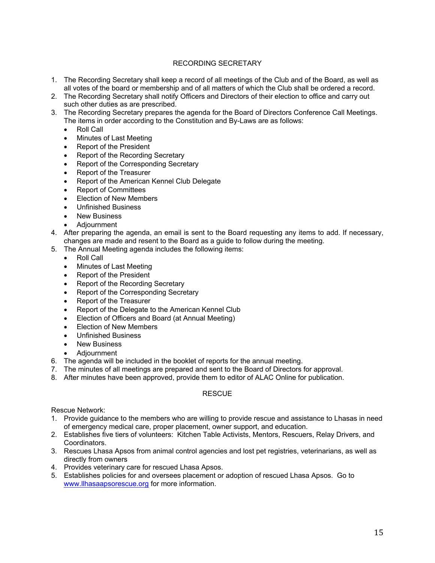# RECORDING SECRETARY

- 1. The Recording Secretary shall keep a record of all meetings of the Club and of the Board, as well as all votes of the board or membership and of all matters of which the Club shall be ordered a record.
- 2. The Recording Secretary shall notify Officers and Directors of their election to office and carry out such other duties as are prescribed.
- 3. The Recording Secretary prepares the agenda for the Board of Directors Conference Call Meetings. The items in order according to the Constitution and By-Laws are as follows:
	- Roll Call
	- Minutes of Last Meeting
	- Report of the President
	- Report of the Recording Secretary
	- Report of the Corresponding Secretary
	- Report of the Treasurer
	- Report of the American Kennel Club Delegate
	- Report of Committees
	- Election of New Members
	- Unfinished Business
	- New Business
	- **Adiournment**
- 4. After preparing the agenda, an email is sent to the Board requesting any items to add. If necessary, changes are made and resent to the Board as a guide to follow during the meeting.
- 5. The Annual Meeting agenda includes the following items:
	- Roll Call
	- Minutes of Last Meeting
	- Report of the President
	- Report of the Recording Secretary
	- Report of the Corresponding Secretary
	- Report of the Treasurer
	- Report of the Delegate to the American Kennel Club
	- Election of Officers and Board (at Annual Meeting)
	- Election of New Members
	- Unfinished Business
	- New Business
	- Adjournment
- 6. The agenda will be included in the booklet of reports for the annual meeting.
- 7. The minutes of all meetings are prepared and sent to the Board of Directors for approval.
- 8. After minutes have been approved, provide them to editor of ALAC Online for publication.

# **RESCUE**

Rescue Network:

- 1. Provide guidance to the members who are willing to provide rescue and assistance to Lhasas in need of emergency medical care, proper placement, owner support, and education.
- 2. Establishes five tiers of volunteers: Kitchen Table Activists, Mentors, Rescuers, Relay Drivers, and Coordinators.
- 3. Rescues Lhasa Apsos from animal control agencies and lost pet registries, veterinarians, as well as directly from owners
- 4. Provides veterinary care for rescued Lhasa Apsos.
- 5. Establishes policies for and oversees placement or adoption of rescued Lhasa Apsos. Go to www.llhasaapsorescue.org for more information.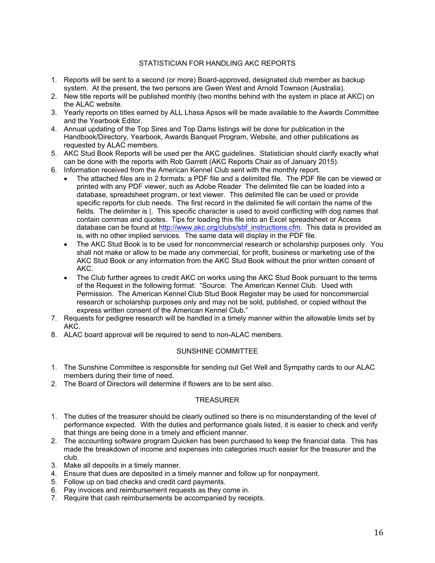### STATISTICIAN FOR HANDLING AKC REPORTS

- 1. Reports will be sent to a second (or more) Board-approved, designated club member as backup system. At the present, the two persons are Gwen West and Arnold Townson (Australia).
- 2. New title reports will be published monthly (two months behind with the system in place at AKC) on the ALAC website.
- 3. Yearly reports on titles earned by ALL Lhasa Apsos will be made available to the Awards Committee and the Yearbook Editor.
- 4. Annual updating of the Top Sires and Top Dams listings will be done for publication in the Handbook/Directory, Yearbook, Awards Banquet Program, Website, and other publications as requested by ALAC members.
- 5. AKC Stud Book Reports will be used per the AKC guidelines. Statistician should clarify exactly what can be done with the reports with Rob Garrett (AKC Reports Chair as of January 2015).
- 6. Information received from the American Kennel Club sent with the monthly report.
	- The attached files are in 2 formats: a PDF file and a delimited file. The PDF file can be viewed or printed with any PDF viewer, such as Adobe Reader The delimited file can be loaded into a database, spreadsheet program, or text viewer. This delimited file can be used or provide specific reports for club needs. The first record in the delimited fie will contain the name of the fields. The delimiter is |. This specific character is used to avoid conflicting with dog names that contain commas and quotes. Tips for loading this file into an Excel spreadsheet or Access database can be found at http://www.akc.org/clubs/sbf\_instructions.cfm. This data is provided as is, with no other implied services. The same data will display in the PDF file.
	- The AKC Stud Book is to be used for noncommercial research or scholarship purposes only. You shall not make or allow to be made any commercial, for profit, business or marketing use of the AKC Stud Book or any information from the AKC Stud Book without the prior written consent of AKC.
	- The Club further agrees to credit AKC on works using the AKC Stud Book pursuant to the terms of the Request in the following format: "Source: The American Kennel Club. Used with Permission. The American Kennel Club Stud Book Register may be used for noncommercial research or scholarship purposes only and may not be sold, published, or copied without the express written consent of the American Kennel Club."
- 7. Requests for pedigree research will be handled in a timely manner within the allowable limits set by AKC.
- 8. ALAC board approval will be required to send to non-ALAC members.

# SUNSHINE COMMITTEE

- 1. The Sunshine Committee is responsible for sending out Get Well and Sympathy cards to our ALAC members during their time of need.
- 2. The Board of Directors will determine if flowers are to be sent also.

# **TREASURER**

- 1. The duties of the treasurer should be clearly outlined so there is no misunderstanding of the level of performance expected. With the duties and performance goals listed, it is easier to check and verify that things are being done in a timely and efficient manner.
- 2. The accounting software program Quicken has been purchased to keep the financial data. This has made the breakdown of income and expenses into categories much easier for the treasurer and the club.
- 3. Make all deposits in a timely manner.
- 4. Ensure that dues are deposited in a timely manner and follow up for nonpayment.
- 5. Follow up on bad checks and credit card payments.
- 6. Pay invoices and reimbursement requests as they come in.
- 7. Require that cash reimbursements be accompanied by receipts.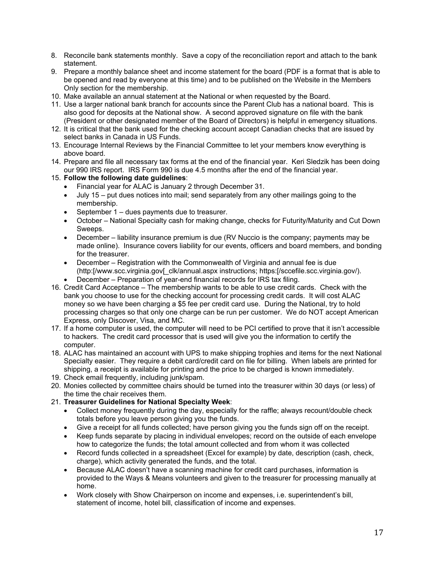- 8. Reconcile bank statements monthly. Save a copy of the reconciliation report and attach to the bank statement.
- 9. Prepare a monthly balance sheet and income statement for the board (PDF is a format that is able to be opened and read by everyone at this time) and to be published on the Website in the Members Only section for the membership.
- 10. Make available an annual statement at the National or when requested by the Board.
- 11. Use a larger national bank branch for accounts since the Parent Club has a national board. This is also good for deposits at the National show. A second approved signature on file with the bank (President or other designated member of the Board of Directors) is helpful in emergency situations.
- 12. It is critical that the bank used for the checking account accept Canadian checks that are issued by select banks in Canada in US Funds.
- 13. Encourage Internal Reviews by the Financial Committee to let your members know everything is above board.
- 14. Prepare and file all necessary tax forms at the end of the financial year. Keri Sledzik has been doing our 990 IRS report. IRS Form 990 is due 4.5 months after the end of the financial year.
- 15. **Follow the following date guidelines**:
	- Financial year for ALAC is January 2 through December 31.
	- July 15 put dues notices into mail; send separately from any other mailings going to the membership.
	- September 1 dues payments due to treasurer.
	- October National Specialty cash for making change, checks for Futurity/Maturity and Cut Down Sweeps.
	- December liability insurance premium is due (RV Nuccio is the company; payments may be made online). Insurance covers liability for our events, officers and board members, and bonding for the treasurer.
	- December Registration with the Commonwealth of Virginia and annual fee is due (http:[/www.scc.virginia.gov[\_clk/annual.aspx instructions; https:[/sccefile.scc.virginia.gov/).
	- December Preparation of year-end financial records for IRS tax filing.
- 16. Credit Card Acceptance The membership wants to be able to use credit cards. Check with the bank you choose to use for the checking account for processing credit cards. It will cost ALAC money so we have been charging a \$5 fee per credit card use. During the National, try to hold processing charges so that only one charge can be run per customer. We do NOT accept American Express, only Discover, Visa, and MC.
- 17. If a home computer is used, the computer will need to be PCI certified to prove that it isn't accessible to hackers. The credit card processor that is used will give you the information to certify the computer.
- 18. ALAC has maintained an account with UPS to make shipping trophies and items for the next National Specialty easier. They require a debit card/credit card on file for billing. When labels are printed for shipping, a receipt is available for printing and the price to be charged is known immediately.
- 19. Check email frequently, including junk/spam.
- 20. Monies collected by committee chairs should be turned into the treasurer within 30 days (or less) of the time the chair receives them.
- 21. **Treasurer Guidelines for National Specialty Week**:
	- Collect money frequently during the day, especially for the raffle; always recount/double check totals before you leave person giving you the funds.
	- Give a receipt for all funds collected; have person giving you the funds sign off on the receipt.
	- Keep funds separate by placing in individual envelopes; record on the outside of each envelope how to categorize the funds; the total amount collected and from whom it was collected
	- Record funds collected in a spreadsheet (Excel for example) by date, description (cash, check, charge), which activity generated the funds, and the total.
	- Because ALAC doesn't have a scanning machine for credit card purchases, information is provided to the Ways & Means volunteers and given to the treasurer for processing manually at home.
	- Work closely with Show Chairperson on income and expenses, i.e. superintendent's bill, statement of income, hotel bill, classification of income and expenses.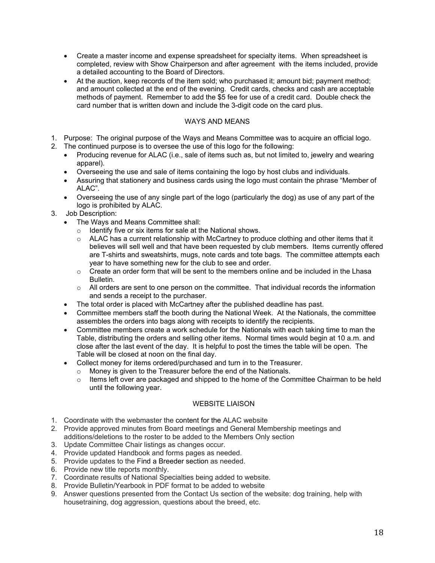- Create a master income and expense spreadsheet for specialty items. When spreadsheet is completed, review with Show Chairperson and after agreement with the items included, provide a detailed accounting to the Board of Directors.
- At the auction, keep records of the item sold; who purchased it; amount bid; payment method; and amount collected at the end of the evening. Credit cards, checks and cash are acceptable methods of payment. Remember to add the \$5 fee for use of a credit card. Double check the card number that is written down and include the 3-digit code on the card plus.

# WAYS AND MEANS

- 1. Purpose: The original purpose of the Ways and Means Committee was to acquire an official logo.
- 2. The continued purpose is to oversee the use of this logo for the following:
	- Producing revenue for ALAC (i.e., sale of items such as, but not limited to, jewelry and wearing apparel).
	- Overseeing the use and sale of items containing the logo by host clubs and individuals.
	- Assuring that stationery and business cards using the logo must contain the phrase "Member of ALAC".
	- Overseeing the use of any single part of the logo (particularly the dog) as use of any part of the logo is prohibited by ALAC.
- 3. Job Description:
	- The Ways and Means Committee shall:
		- o Identify five or six items for sale at the National shows.
		- $\circ$  ALAC has a current relationship with McCartney to produce clothing and other items that it believes will sell well and that have been requested by club members. Items currently offered are T-shirts and sweatshirts, mugs, note cards and tote bags. The committee attempts each year to have something new for the club to see and order.
		- $\circ$  Create an order form that will be sent to the members online and be included in the Lhasa Bulletin.
		- $\circ$  All orders are sent to one person on the committee. That individual records the information and sends a receipt to the purchaser.
	- The total order is placed with McCartney after the published deadline has past.
	- Committee members staff the booth during the National Week. At the Nationals, the committee assembles the orders into bags along with receipts to identify the recipients.
	- Committee members create a work schedule for the Nationals with each taking time to man the Table, distributing the orders and selling other items. Normal times would begin at 10 a.m. and close after the last event of the day. It is helpful to post the times the table will be open. The Table will be closed at noon on the final day.
	- Collect money for items ordered/purchased and turn in to the Treasurer.
		- o Money is given to the Treasurer before the end of the Nationals.
			- o Items left over are packaged and shipped to the home of the Committee Chairman to be held until the following year.

# WEBSITE LIAISON

- 1. Coordinate with the webmaster the content for the ALAC website
- 2. Provide approved minutes from Board meetings and General Membership meetings and additions/deletions to the roster to be added to the Members Only section
- 3. Update Committee Chair listings as changes occur.
- 4. Provide updated Handbook and forms pages as needed.
- 5. Provide updates to the Find a Breeder section as needed.
- 6. Provide new title reports monthly.
- 7. Coordinate results of National Specialties being added to website.
- 8. Provide Bulletin/Yearbook in PDF format to be added to website
- 9. Answer questions presented from the Contact Us section of the website: dog training, help with housetraining, dog aggression, questions about the breed, etc.